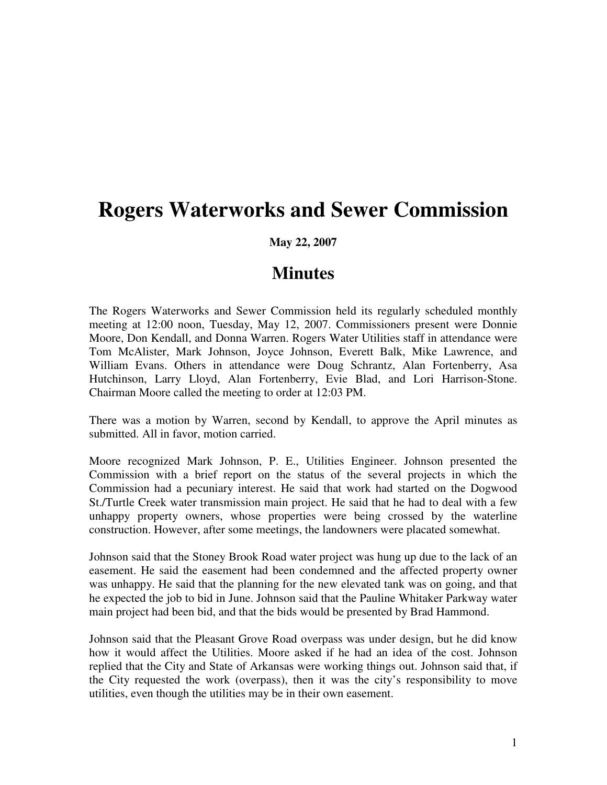## **Rogers Waterworks and Sewer Commission**

## **May 22, 2007**

## **Minutes**

The Rogers Waterworks and Sewer Commission held its regularly scheduled monthly meeting at 12:00 noon, Tuesday, May 12, 2007. Commissioners present were Donnie Moore, Don Kendall, and Donna Warren. Rogers Water Utilities staff in attendance were Tom McAlister, Mark Johnson, Joyce Johnson, Everett Balk, Mike Lawrence, and William Evans. Others in attendance were Doug Schrantz, Alan Fortenberry, Asa Hutchinson, Larry Lloyd, Alan Fortenberry, Evie Blad, and Lori Harrison-Stone. Chairman Moore called the meeting to order at 12:03 PM.

There was a motion by Warren, second by Kendall, to approve the April minutes as submitted. All in favor, motion carried.

Moore recognized Mark Johnson, P. E., Utilities Engineer. Johnson presented the Commission with a brief report on the status of the several projects in which the Commission had a pecuniary interest. He said that work had started on the Dogwood St./Turtle Creek water transmission main project. He said that he had to deal with a few unhappy property owners, whose properties were being crossed by the waterline construction. However, after some meetings, the landowners were placated somewhat.

Johnson said that the Stoney Brook Road water project was hung up due to the lack of an easement. He said the easement had been condemned and the affected property owner was unhappy. He said that the planning for the new elevated tank was on going, and that he expected the job to bid in June. Johnson said that the Pauline Whitaker Parkway water main project had been bid, and that the bids would be presented by Brad Hammond.

Johnson said that the Pleasant Grove Road overpass was under design, but he did know how it would affect the Utilities. Moore asked if he had an idea of the cost. Johnson replied that the City and State of Arkansas were working things out. Johnson said that, if the City requested the work (overpass), then it was the city's responsibility to move utilities, even though the utilities may be in their own easement.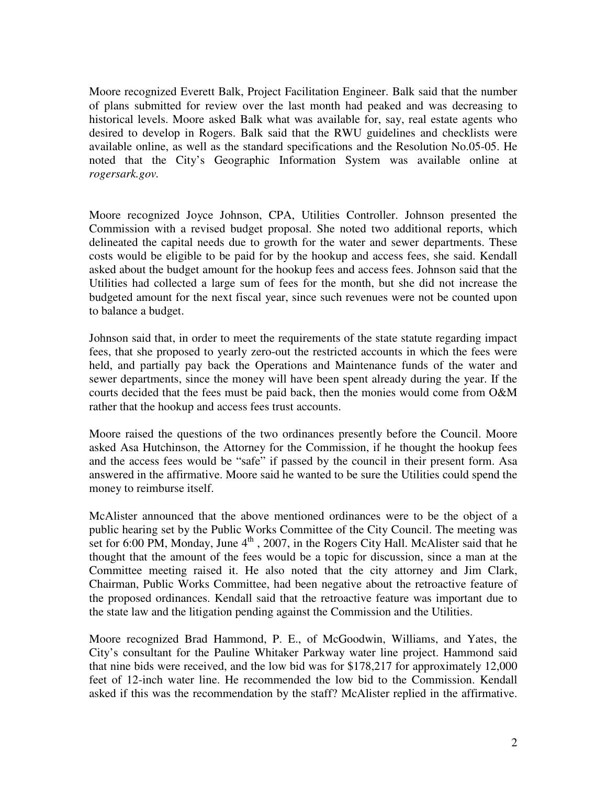Moore recognized Everett Balk, Project Facilitation Engineer. Balk said that the number of plans submitted for review over the last month had peaked and was decreasing to historical levels. Moore asked Balk what was available for, say, real estate agents who desired to develop in Rogers. Balk said that the RWU guidelines and checklists were available online, as well as the standard specifications and the Resolution No.05-05. He noted that the City's Geographic Information System was available online at *rogersark.gov.* 

Moore recognized Joyce Johnson, CPA, Utilities Controller. Johnson presented the Commission with a revised budget proposal. She noted two additional reports, which delineated the capital needs due to growth for the water and sewer departments. These costs would be eligible to be paid for by the hookup and access fees, she said. Kendall asked about the budget amount for the hookup fees and access fees. Johnson said that the Utilities had collected a large sum of fees for the month, but she did not increase the budgeted amount for the next fiscal year, since such revenues were not be counted upon to balance a budget.

Johnson said that, in order to meet the requirements of the state statute regarding impact fees, that she proposed to yearly zero-out the restricted accounts in which the fees were held, and partially pay back the Operations and Maintenance funds of the water and sewer departments, since the money will have been spent already during the year. If the courts decided that the fees must be paid back, then the monies would come from O&M rather that the hookup and access fees trust accounts.

Moore raised the questions of the two ordinances presently before the Council. Moore asked Asa Hutchinson, the Attorney for the Commission, if he thought the hookup fees and the access fees would be "safe" if passed by the council in their present form. Asa answered in the affirmative. Moore said he wanted to be sure the Utilities could spend the money to reimburse itself.

McAlister announced that the above mentioned ordinances were to be the object of a public hearing set by the Public Works Committee of the City Council. The meeting was set for 6:00 PM, Monday, June  $4<sup>th</sup>$ , 2007, in the Rogers City Hall. McAlister said that he thought that the amount of the fees would be a topic for discussion, since a man at the Committee meeting raised it. He also noted that the city attorney and Jim Clark, Chairman, Public Works Committee, had been negative about the retroactive feature of the proposed ordinances. Kendall said that the retroactive feature was important due to the state law and the litigation pending against the Commission and the Utilities.

Moore recognized Brad Hammond, P. E., of McGoodwin, Williams, and Yates, the City's consultant for the Pauline Whitaker Parkway water line project. Hammond said that nine bids were received, and the low bid was for \$178,217 for approximately 12,000 feet of 12-inch water line. He recommended the low bid to the Commission. Kendall asked if this was the recommendation by the staff? McAlister replied in the affirmative.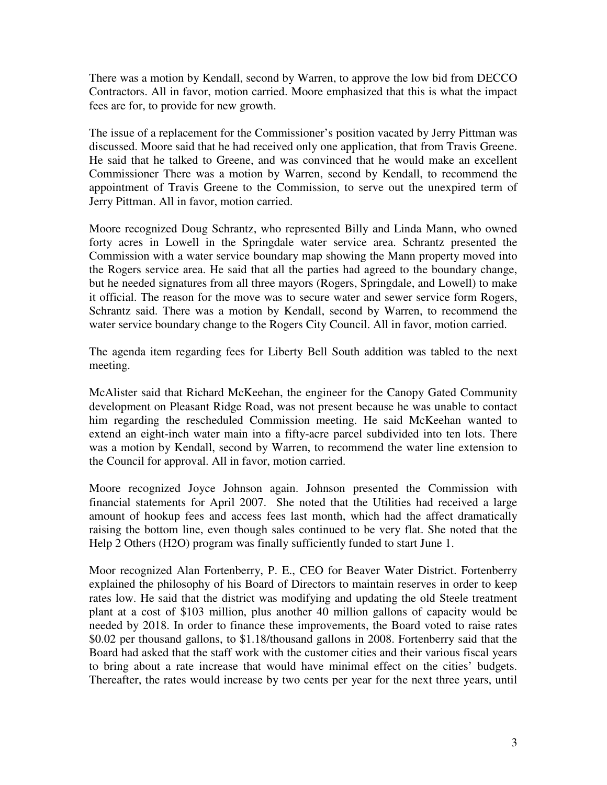There was a motion by Kendall, second by Warren, to approve the low bid from DECCO Contractors. All in favor, motion carried. Moore emphasized that this is what the impact fees are for, to provide for new growth.

The issue of a replacement for the Commissioner's position vacated by Jerry Pittman was discussed. Moore said that he had received only one application, that from Travis Greene. He said that he talked to Greene, and was convinced that he would make an excellent Commissioner There was a motion by Warren, second by Kendall, to recommend the appointment of Travis Greene to the Commission, to serve out the unexpired term of Jerry Pittman. All in favor, motion carried.

Moore recognized Doug Schrantz, who represented Billy and Linda Mann, who owned forty acres in Lowell in the Springdale water service area. Schrantz presented the Commission with a water service boundary map showing the Mann property moved into the Rogers service area. He said that all the parties had agreed to the boundary change, but he needed signatures from all three mayors (Rogers, Springdale, and Lowell) to make it official. The reason for the move was to secure water and sewer service form Rogers, Schrantz said. There was a motion by Kendall, second by Warren, to recommend the water service boundary change to the Rogers City Council. All in favor, motion carried.

The agenda item regarding fees for Liberty Bell South addition was tabled to the next meeting.

McAlister said that Richard McKeehan, the engineer for the Canopy Gated Community development on Pleasant Ridge Road, was not present because he was unable to contact him regarding the rescheduled Commission meeting. He said McKeehan wanted to extend an eight-inch water main into a fifty-acre parcel subdivided into ten lots. There was a motion by Kendall, second by Warren, to recommend the water line extension to the Council for approval. All in favor, motion carried.

Moore recognized Joyce Johnson again. Johnson presented the Commission with financial statements for April 2007. She noted that the Utilities had received a large amount of hookup fees and access fees last month, which had the affect dramatically raising the bottom line, even though sales continued to be very flat. She noted that the Help 2 Others (H2O) program was finally sufficiently funded to start June 1.

Moor recognized Alan Fortenberry, P. E., CEO for Beaver Water District. Fortenberry explained the philosophy of his Board of Directors to maintain reserves in order to keep rates low. He said that the district was modifying and updating the old Steele treatment plant at a cost of \$103 million, plus another 40 million gallons of capacity would be needed by 2018. In order to finance these improvements, the Board voted to raise rates \$0.02 per thousand gallons, to \$1.18/thousand gallons in 2008. Fortenberry said that the Board had asked that the staff work with the customer cities and their various fiscal years to bring about a rate increase that would have minimal effect on the cities' budgets. Thereafter, the rates would increase by two cents per year for the next three years, until